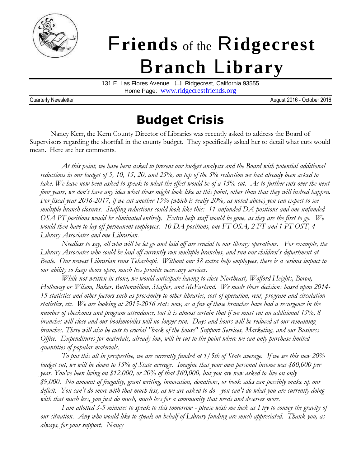

# F**riends** of the R**idgecrest** B**ranch** L**ibrary**

131 E. Las Flores Avenue <sup>1</sup> Ridgecrest, California 93555 Home Page: [www.ridgecrestfriends.org](http://www.ridgecrestfriends.org/)

Quarterly Newsletter **August 2016** - October 2016

## **Budget Crisis**

Nancy Kerr, the Kern County Director of Libraries was recently asked to address the Board of Supervisors regarding the shortfall in the county budget. They specifically asked her to detail what cuts would mean. Here are her comments.

*At this point, we have been asked to present our budget analysts and the Board with potential additional reductions in our budget of 5, 10, 15, 20, and 25%, on top of the 5% reduction we had already been asked to take. We have now been asked to speak to what the effect would be of a 15% cut. As to further cuts over the next four years, we don't have any idea what those might look like at this point, other than that they will indeed happen. For fiscal year 2016-2017, if we cut another 15% (which is really 20%, as noted above) you can expect to see multiple branch closures. Staffing reductions could look like this: 11 unfunded DA positions and one unfunded OSA PT positions would be eliminated entirely. Extra help staff would be gone, as they are the first to go. We would then have to lay off permanent employees: 10 DA positions, one FT OSA, 2 FT and 1 PT OST, 4 Library Associates and one Librarian.* 

*Needless to say, all who will be let go and laid off are crucial to our library operations. For example, the Library Associates who could be laid off currently run multiple branches, and run our children's department at Beale. Our newest Librarian runs Tehachapi. Without our 38 extra help employees, there is a serious impact to our ability to keep doors open, much less provide necessary services.*

*While not written in stone, we would anticipate having to close Northeast, Wofford Heights, Boron, Holloway or Wilson, Baker, Buttonwillow, Shafter, and McFarland. We made those decisions based upon 2014- 15 statistics and other factors such as proximity to other libraries, cost of operation, rent, program and circulation statistics, etc. We are looking at 2015-2016 stats now, as a few of those branches have had a resurgence in the number of checkouts and program attendance, but it is almost certain that if we must cut an additional 15%, 8 branches will close and our bookmobiles will no longer run. Days and hours will be reduced at our remaining branches. There will also be cuts to crucial "back of the house" Support Services, Marketing, and our Business Office. Expenditures for materials, already low, will be cut to the point where we can only purchase limited quantities of popular materials.*

*To put this all in perspective, we are currently funded at 1/5th of State average. If we see this new 20% budget cut, we will be down to 15% of State average. Imagine that your own personal income was \$60,000 per year. You've been living on \$12,000, or 20% of that \$60,000, but you are now asked to live on only \$9,000. No amount of frugality, grant writing, innovation, donations, or book sales can possibly make up our deficit. You can't do more with that much less, as we are asked to do - you can't do what you are currently doing with that much less, you just do much, much less for a community that needs and deserves more.*

*I am allotted 3-5 minutes to speak to this tomorrow - please wish me luck as I try to convey the gravity of our situation. Any who would like to speak on behalf of Library funding are much appreciated. Thank you, as always, for your support. Nancy*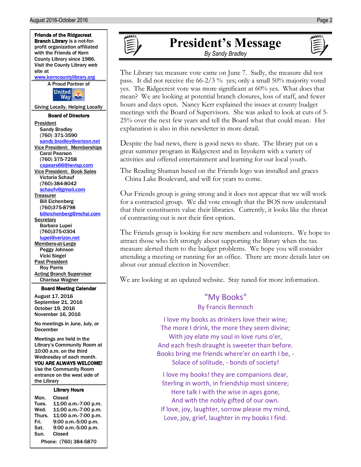

#### Mon. Closed Tues. 11:00 a.m.-7:00 p.m. Wed. 11:00 a.m.-7:00 p.m. Thurs. 11:00 a.m.-7:00 p.m. Fri. 9:00 a.m.-5:00 p.m. Sat. 9:00 a.m.-5:00 p.m. Sun. Closed Phone: (760) 384-5870



#### **President's Message** *By Sandy Bradley*

The Library tax measure vote came on June 7. Sadly, the measure did not pass. It did not receive the 66-2/3 % yes; only a small 50% majority voted yes. The Ridgecrest vote was more significant at 60% yes. What does that mean? We are looking at potential branch closures, loss of staff, and fewer hours and days open. Nancy Kerr explained the issues at county budget meetings with the Board of Supervisors. She was asked to look at cuts of 5- 25% over the next few years and tell the Board what that could mean. Her explanation is also in this newsletter in more detail.

Despite the bad news, there is good news to share. The library put on a great summer program in Ridgecrest and in Inyokern with a variety of activities and offered entertainment and learning for our local youth.

The Reading Shaman based on the Friends logo was installed and graces China Lake Boulevard, and will for years to come.

Our Friends group is going strong and it does not appear that we will work for a contracted group. We did vote enough that the BOS now understand that their constituents value their libraries. Currently, it looks like the threat of contracting out is not their first option.

The Friends group is looking for new members and volunteers. We hope to attract those who felt strongly about supporting the library when the tax measure alerted them to the budget problems. We hope you will consider attending a meeting or running for an office. There are more details later on about our annual election in November.

We are looking at an updated website. Stay tuned for more information.

#### "My Books" By Francis Bennoch

I love my books as drinkers love their wine; The more I drink, the more they seem divine; With joy elate my soul in love runs o'er, And each fresh draught is sweeter than before. Books bring me friends where'er on earth I be, - Solace of solitude, - bonds of society!

I love my books! they are companions dear, Sterling in worth, in friendship most sincere; Here talk I with the wise in ages gone, And with the nobly gifted of our own. If love, joy, laughter, sorrow please my mind, Love, joy, grief, laughter in my books I find.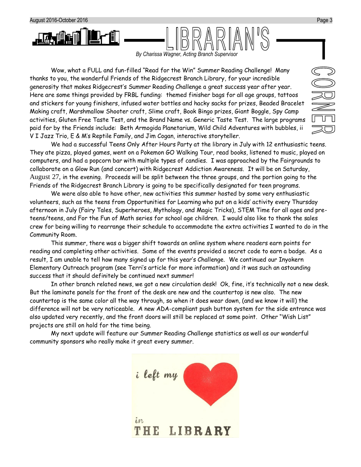

*By Charissa Wagner, Acting Branch Supervisor*

Wow, what a FULL and fun-filled "Read for the Win" Summer Reading Challenge! Many thanks to you, the wonderful Friends of the Ridgecrest Branch Library, for your incredible generosity that makes Ridgecrest's Summer Reading Challenge a great success year after year. Here are some things provided by FRBL funding: themed finisher bags for all age groups, tattoos and stickers for young finishers, infused water bottles and hacky sacks for prizes, Beaded Bracelet Making craft, Marshmallow Shooter craft, Slime craft, Book Bingo prizes, Giant Boggle, Spy Camp activities, Gluten Free Taste Test, and the Brand Name vs. Generic Taste Test. The large programs paid for by the Friends include: Beth Armogida Planetarium, Wild Child Adventures with bubbles, ii V I Jazz Trio, E & M's Reptile Family, and Jim Cogan, interactive storyteller.

We had a successful Teens Only After Hours Party at the library in July with 12 enthusiastic teens. They ate pizza, played games, went on a Pokemon GO Walking Tour, read books, listened to music, played on computers, and had a popcorn bar with multiple types of candies. I was approached by the Fairgrounds to collaborate on a Glow Run (and concert) with Ridgecrest Addiction Awareness. It will be on Saturday, August 27, in the evening. Proceeds will be split between the three groups, and the portion going to the Friends of the Ridgecrest Branch Library is going to be specifically designated for teen programs.

We were also able to have other, new activities this summer hosted by some very enthusiastic volunteers, such as the teens from Opportunities for Learning who put on a kids' activity every Thursday afternoon in July (Fairy Tales, Superheroes, Mythology, and Magic Tricks), STEM Time for all ages and preteens/teens, and For the Fun of Math series for school age children. I would also like to thank the sales crew for being willing to rearrange their schedule to accommodate the extra activities I wanted to do in the Community Room.

This summer, there was a bigger shift towards an online system where readers earn points for reading and completing other activities. Some of the events provided a secret code to earn a badge. As a result, I am unable to tell how many signed up for this year's Challenge. We continued our Inyokern Elementary Outreach program (see Terri's article for more information) and it was such an astounding success that it should definitely be continued next summer!

In other branch related news, we got a new circulation desk! Ok, fine, it's technically not a new desk. But the laminate panels for the front of the desk are new and the countertop is new also. The new countertop is the same color all the way through, so when it does wear down, (and we know it will) the difference will not be very noticeable. A new ADA-compliant push button system for the side entrance was also updated very recently, and the front doors will still be replaced at some point. Other "Wish List" projects are still on hold for the time being.

My next update will feature our Summer Reading Challenge statistics as well as our wonderful community sponsors who really make it great every summer.

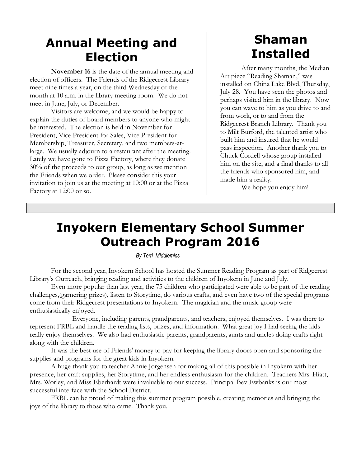#### **Annual Meeting and Election**

**November 16** is the date of the annual meeting and election of officers. The Friends of the Ridgecrest Library meet nine times a year, on the third Wednesday of the month at 10 a.m. in the library meeting room. We do not meet in June, July, or December.

Visitors are welcome, and we would be happy to explain the duties of board members to anyone who might be interested. The election is held in November for President, Vice President for Sales, Vice President for Membership, Treasurer, Secretary, and two members-atlarge. We usually adjourn to a restaurant after the meeting. Lately we have gone to Pizza Factory, where they donate 30% of the proceeds to our group, as long as we mention the Friends when we order. Please consider this your invitation to join us at the meeting at 10:00 or at the Pizza Factory at 12:00 or so.

## **Shaman Installed**

After many months, the Median Art piece "Reading Shaman," was installed on China Lake Blvd, Thursday, July 28. You have seen the photos and perhaps visited him in the library. Now you can wave to him as you drive to and from work, or to and from the Ridgecrest Branch Library. Thank you to Milt Burford, the talented artist who built him and insured that he would pass inspection. Another thank you to Chuck Cordell whose group installed him on the site, and a final thanks to all the friends who sponsored him, and made him a reality.

We hope you enjoy him!

## **Inyokern Elementary School Summer Outreach Program 2016**

*By Terri Middlemiss*

For the second year, Inyokern School has hosted the Summer Reading Program as part of Ridgecrest Library's Outreach, bringing reading and activities to the children of Inyokern in June and July.

Even more popular than last year, the 75 children who participated were able to be part of the reading challenges,(garnering prizes), listen to Storytime, do various crafts, and even have two of the special programs come from their Ridgecrest presentations to Inyokern. The magician and the music group were enthusiastically enjoyed.

Everyone, including parents, grandparents, and teachers, enjoyed themselves. I was there to represent FRBL and handle the reading lists, prizes, and information. What great joy I had seeing the kids really enjoy themselves. We also had enthusiastic parents, grandparents, aunts and uncles doing crafts right along with the children.

It was the best use of Friends' money to pay for keeping the library doors open and sponsoring the supplies and programs for the great kids in Inyokern.

A huge thank you to teacher Annie Jorgensen for making all of this possible in Inyokern with her presence, her craft supplies, her Storytime, and her endless enthusiasm for the children. Teachers Mrs. Hiatt, Mrs. Worley, and Miss Eberhardt were invaluable to our success. Principal Bev Ewbanks is our most successful interface with the School District.

FRBL can be proud of making this summer program possible, creating memories and bringing the joys of the library to those who came. Thank you.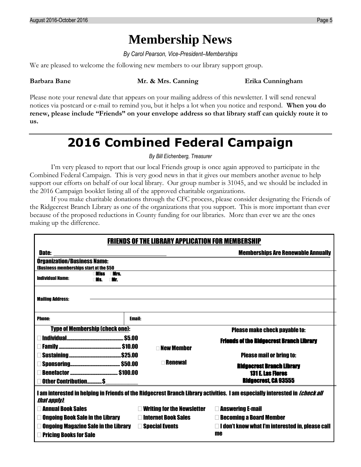#### **Membership News**

*By Carol Pearson, Vice-President–Memberships*

We are pleased to welcome the following new members to our library support group.

**Barbara Bane Mr. & Mrs. Canning Erika Cunningham**

Please note your renewal date that appears on your mailing address of this newsletter. I will send renewal notices via postcard or e-mail to remind you, but it helps a lot when you notice and respond. **When you do renew, please include "Friends" on your envelope address so that library staff can quickly route it to us.**

## **2016 Combined Federal Campaign**

*By Bill Eichenberg, Treasurer*

I'm very pleased to report that our local Friends group is once again approved to participate in the Combined Federal Campaign. This is very good news in that it gives our members another avenue to help support our efforts on behalf of our local library. Our group number is 31045, and we should be included in the 2016 Campaign booklet listing all of the approved charitable organizations.

If you make charitable donations through the CFC process, please consider designating the Friends of the Ridgecrest Branch Library as one of the organizations that you support. This is more important than ever because of the proposed reductions in County funding for our libraries. More than ever we are the ones making up the difference.

| <b>FRIENDS OF THE LIBRARY APPLICATION FOR MEMBERSHIP</b>                                                                                           |                                   |                                                         |  |
|----------------------------------------------------------------------------------------------------------------------------------------------------|-----------------------------------|---------------------------------------------------------|--|
| <b>Memberships Are Renewable Annually</b><br><b>Date:</b>                                                                                          |                                   |                                                         |  |
| <b>Organization/Business Name:</b>                                                                                                                 |                                   |                                                         |  |
| (Business memberships start at the \$50<br><b>niirs</b> .<br>Wiss                                                                                  |                                   |                                                         |  |
| <b>Individual Name:</b><br>∩Mr.<br>NS.                                                                                                             |                                   |                                                         |  |
|                                                                                                                                                    |                                   |                                                         |  |
| <b>Mailing Address:</b>                                                                                                                            |                                   |                                                         |  |
|                                                                                                                                                    |                                   |                                                         |  |
|                                                                                                                                                    |                                   |                                                         |  |
| <b>Phone:</b>                                                                                                                                      | <b>Email:</b>                     |                                                         |  |
| <b>Type of Membership (check one):</b><br><b>Please make check payable to:</b>                                                                     |                                   |                                                         |  |
|                                                                                                                                                    |                                   | <b>Friends of the Ridgecrest Branch Library</b>         |  |
| <b>New Member</b>                                                                                                                                  |                                   |                                                         |  |
|                                                                                                                                                    |                                   | <b>Please mail or bring to:</b>                         |  |
| <b>Renewal</b>                                                                                                                                     |                                   | <b>Ridgecrest Branch Library</b>                        |  |
|                                                                                                                                                    |                                   | <b>131 E. Las Flores</b>                                |  |
| <b>Ridgecrest, CA 93555</b><br><b>Other Contribution\$</b>                                                                                         |                                   |                                                         |  |
|                                                                                                                                                    |                                   |                                                         |  |
| I am interested in helping in Friends of the Ridgecrest Branch Library activities. I am especially interested in <i>[check all</i><br>that apply). |                                   |                                                         |  |
| <b>Annual Book Sales</b>                                                                                                                           | <b>Writing for the Newsletter</b> | <b>Answering E-mail</b>                                 |  |
| <b>Ongoing Book Sale in the Library</b>                                                                                                            | <b>Internet Book Sales</b>        | <b>Becoming a Board Member</b>                          |  |
|                                                                                                                                                    |                                   |                                                         |  |
| <b>Ongoing Magazine Sale in the Library</b><br><b>Special Events</b>                                                                               |                                   | $\Box$ I don't know what I'm interested in, please call |  |
| me<br><b>Pricing Books for Sale</b>                                                                                                                |                                   |                                                         |  |